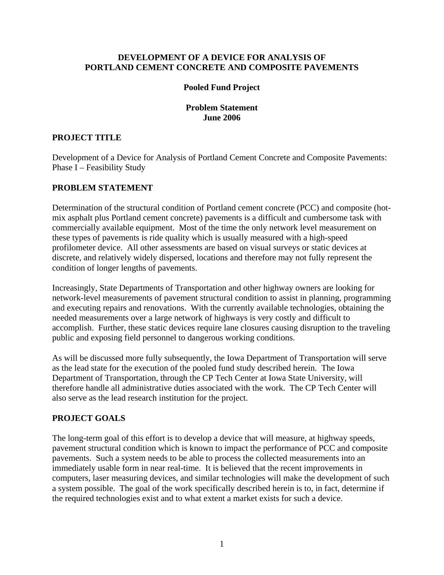### **DEVELOPMENT OF A DEVICE FOR ANALYSIS OF PORTLAND CEMENT CONCRETE AND COMPOSITE PAVEMENTS**

### **Pooled Fund Project**

### **Problem Statement June 2006**

## **PROJECT TITLE**

Development of a Device for Analysis of Portland Cement Concrete and Composite Pavements: Phase I – Feasibility Study

## **PROBLEM STATEMENT**

Determination of the structural condition of Portland cement concrete (PCC) and composite (hotmix asphalt plus Portland cement concrete) pavements is a difficult and cumbersome task with commercially available equipment. Most of the time the only network level measurement on these types of pavements is ride quality which is usually measured with a high-speed profilometer device. All other assessments are based on visual surveys or static devices at discrete, and relatively widely dispersed, locations and therefore may not fully represent the condition of longer lengths of pavements.

Increasingly, State Departments of Transportation and other highway owners are looking for network-level measurements of pavement structural condition to assist in planning, programming and executing repairs and renovations. With the currently available technologies, obtaining the needed measurements over a large network of highways is very costly and difficult to accomplish. Further, these static devices require lane closures causing disruption to the traveling public and exposing field personnel to dangerous working conditions.

As will be discussed more fully subsequently, the Iowa Department of Transportation will serve as the lead state for the execution of the pooled fund study described herein. The Iowa Department of Transportation, through the CP Tech Center at Iowa State University, will therefore handle all administrative duties associated with the work. The CP Tech Center will also serve as the lead research institution for the project.

### **PROJECT GOALS**

The long-term goal of this effort is to develop a device that will measure, at highway speeds, pavement structural condition which is known to impact the performance of PCC and composite pavements. Such a system needs to be able to process the collected measurements into an immediately usable form in near real-time. It is believed that the recent improvements in computers, laser measuring devices, and similar technologies will make the development of such a system possible. The goal of the work specifically described herein is to, in fact, determine if the required technologies exist and to what extent a market exists for such a device.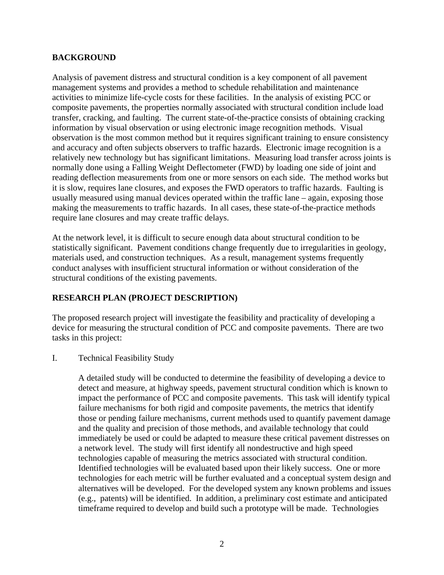## **BACKGROUND**

Analysis of pavement distress and structural condition is a key component of all pavement management systems and provides a method to schedule rehabilitation and maintenance activities to minimize life-cycle costs for these facilities. In the analysis of existing PCC or composite pavements, the properties normally associated with structural condition include load transfer, cracking, and faulting. The current state-of-the-practice consists of obtaining cracking information by visual observation or using electronic image recognition methods. Visual observation is the most common method but it requires significant training to ensure consistency and accuracy and often subjects observers to traffic hazards. Electronic image recognition is a relatively new technology but has significant limitations. Measuring load transfer across joints is normally done using a Falling Weight Deflectometer (FWD) by loading one side of joint and reading deflection measurements from one or more sensors on each side. The method works but it is slow, requires lane closures, and exposes the FWD operators to traffic hazards. Faulting is usually measured using manual devices operated within the traffic lane – again, exposing those making the measurements to traffic hazards. In all cases, these state-of-the-practice methods require lane closures and may create traffic delays.

At the network level, it is difficult to secure enough data about structural condition to be statistically significant. Pavement conditions change frequently due to irregularities in geology, materials used, and construction techniques. As a result, management systems frequently conduct analyses with insufficient structural information or without consideration of the structural conditions of the existing pavements.

# **RESEARCH PLAN (PROJECT DESCRIPTION)**

The proposed research project will investigate the feasibility and practicality of developing a device for measuring the structural condition of PCC and composite pavements. There are two tasks in this project:

I. Technical Feasibility Study

A detailed study will be conducted to determine the feasibility of developing a device to detect and measure, at highway speeds, pavement structural condition which is known to impact the performance of PCC and composite pavements. This task will identify typical failure mechanisms for both rigid and composite pavements, the metrics that identify those or pending failure mechanisms, current methods used to quantify pavement damage and the quality and precision of those methods, and available technology that could immediately be used or could be adapted to measure these critical pavement distresses on a network level. The study will first identify all nondestructive and high speed technologies capable of measuring the metrics associated with structural condition. Identified technologies will be evaluated based upon their likely success. One or more technologies for each metric will be further evaluated and a conceptual system design and alternatives will be developed. For the developed system any known problems and issues (e.g., patents) will be identified. In addition, a preliminary cost estimate and anticipated timeframe required to develop and build such a prototype will be made. Technologies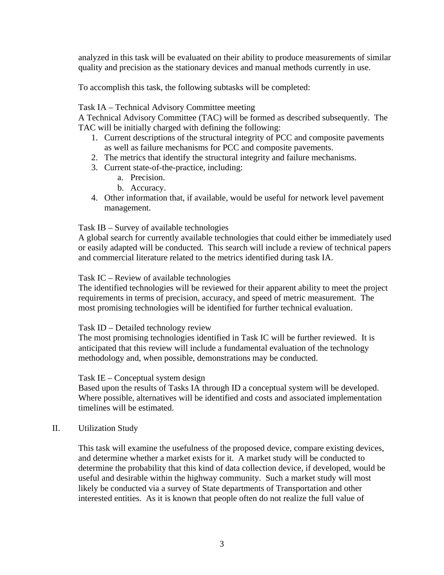analyzed in this task will be evaluated on their ability to produce measurements of similar quality and precision as the stationary devices and manual methods currently in use.

To accomplish this task, the following subtasks will be completed:

## Task IA – Technical Advisory Committee meeting

A Technical Advisory Committee (TAC) will be formed as described subsequently. The TAC will be initially charged with defining the following:

- 1. Current descriptions of the structural integrity of PCC and composite pavements as well as failure mechanisms for PCC and composite pavements.
- 2. The metrics that identify the structural integrity and failure mechanisms.
- 3. Current state-of-the-practice, including:
	- a. Precision.
	- b. Accuracy.
- 4. Other information that, if available, would be useful for network level pavement management.

### Task IB – Survey of available technologies

A global search for currently available technologies that could either be immediately used or easily adapted will be conducted. This search will include a review of technical papers and commercial literature related to the metrics identified during task IA.

### Task IC – Review of available technologies

The identified technologies will be reviewed for their apparent ability to meet the project requirements in terms of precision, accuracy, and speed of metric measurement. The most promising technologies will be identified for further technical evaluation.

### Task ID – Detailed technology review

The most promising technologies identified in Task IC will be further reviewed. It is anticipated that this review will include a fundamental evaluation of the technology methodology and, when possible, demonstrations may be conducted.

### Task IE – Conceptual system design

Based upon the results of Tasks IA through ID a conceptual system will be developed. Where possible, alternatives will be identified and costs and associated implementation timelines will be estimated.

### II. Utilization Study

This task will examine the usefulness of the proposed device, compare existing devices, and determine whether a market exists for it. A market study will be conducted to determine the probability that this kind of data collection device, if developed, would be useful and desirable within the highway community. Such a market study will most likely be conducted via a survey of State departments of Transportation and other interested entities. As it is known that people often do not realize the full value of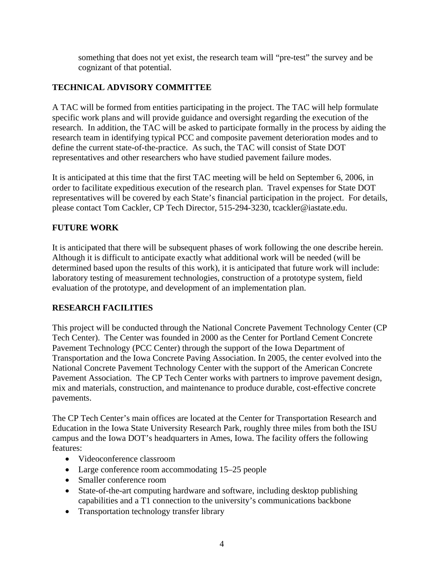something that does not yet exist, the research team will "pre-test" the survey and be cognizant of that potential.

# **TECHNICAL ADVISORY COMMITTEE**

A TAC will be formed from entities participating in the project. The TAC will help formulate specific work plans and will provide guidance and oversight regarding the execution of the research. In addition, the TAC will be asked to participate formally in the process by aiding the research team in identifying typical PCC and composite pavement deterioration modes and to define the current state-of-the-practice. As such, the TAC will consist of State DOT representatives and other researchers who have studied pavement failure modes.

It is anticipated at this time that the first TAC meeting will be held on September 6, 2006, in order to facilitate expeditious execution of the research plan. Travel expenses for State DOT representatives will be covered by each State's financial participation in the project. For details, please contact Tom Cackler, CP Tech Director, 515-294-3230, tcackler@iastate.edu.

# **FUTURE WORK**

It is anticipated that there will be subsequent phases of work following the one describe herein. Although it is difficult to anticipate exactly what additional work will be needed (will be determined based upon the results of this work), it is anticipated that future work will include: laboratory testing of measurement technologies, construction of a prototype system, field evaluation of the prototype, and development of an implementation plan.

# **RESEARCH FACILITIES**

This project will be conducted through the National Concrete Pavement Technology Center (CP Tech Center). The Center was founded in 2000 as the Center for Portland Cement Concrete Pavement Technology (PCC Center) through the support of the Iowa Department of Transportation and the Iowa Concrete Paving Association. In 2005, the center evolved into the National Concrete Pavement Technology Center with the support of the American Concrete Pavement Association. The CP Tech Center works with partners to improve pavement design, mix and materials, construction, and maintenance to produce durable, cost-effective concrete pavements.

The CP Tech Center's main offices are located at the Center for Transportation Research and Education in the Iowa State University Research Park, roughly three miles from both the ISU campus and the Iowa DOT's headquarters in Ames, Iowa. The facility offers the following features:

- Videoconference classroom
- Large conference room accommodating 15–25 people
- Smaller conference room
- State-of-the-art computing hardware and software, including desktop publishing capabilities and a T1 connection to the university's communications backbone
- Transportation technology transfer library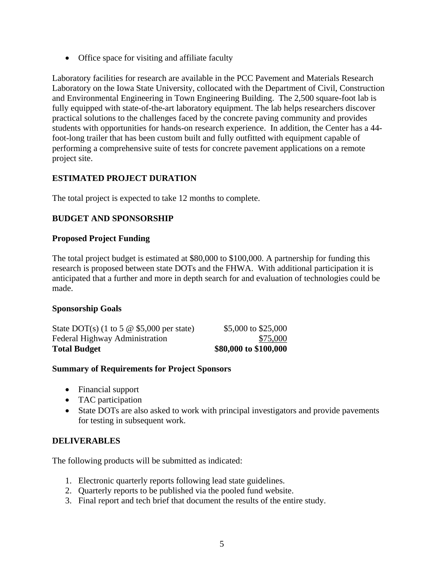• Office space for visiting and affiliate faculty

Laboratory facilities for research are available in the PCC Pavement and Materials Research Laboratory on the Iowa State University, collocated with the Department of Civil, Construction and Environmental Engineering in Town Engineering Building. The 2,500 square-foot lab is fully equipped with state-of-the-art laboratory equipment. The lab helps researchers discover practical solutions to the challenges faced by the concrete paving community and provides students with opportunities for hands-on research experience. In addition, the Center has a 44 foot-long trailer that has been custom built and fully outfitted with equipment capable of performing a comprehensive suite of tests for concrete pavement applications on a remote project site.

# **ESTIMATED PROJECT DURATION**

The total project is expected to take 12 months to complete.

# **BUDGET AND SPONSORSHIP**

# **Proposed Project Funding**

The total project budget is estimated at \$80,000 to \$100,000. A partnership for funding this research is proposed between state DOTs and the FHWA. With additional participation it is anticipated that a further and more in depth search for and evaluation of technologies could be made.

# **Sponsorship Goals**

| <b>Total Budget</b>                              | \$80,000 to \$100,000 |
|--------------------------------------------------|-----------------------|
| Federal Highway Administration                   | \$75,000              |
| State DOT(s) (1 to 5 $\omega$ \$5,000 per state) | \$5,000 to \$25,000   |

# **Summary of Requirements for Project Sponsors**

- Financial support
- TAC participation
- State DOTs are also asked to work with principal investigators and provide pavements for testing in subsequent work.

# **DELIVERABLES**

The following products will be submitted as indicated:

- 1. Electronic quarterly reports following lead state guidelines.
- 2. Quarterly reports to be published via the pooled fund website.
- 3. Final report and tech brief that document the results of the entire study.